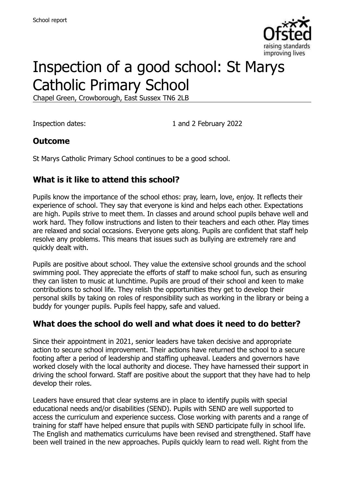

# Inspection of a good school: St Marys Catholic Primary School

Chapel Green, Crowborough, East Sussex TN6 2LB

Inspection dates: 1 and 2 February 2022

#### **Outcome**

St Marys Catholic Primary School continues to be a good school.

#### **What is it like to attend this school?**

Pupils know the importance of the school ethos: pray, learn, love, enjoy. It reflects their experience of school. They say that everyone is kind and helps each other. Expectations are high. Pupils strive to meet them. In classes and around school pupils behave well and work hard. They follow instructions and listen to their teachers and each other. Play times are relaxed and social occasions. Everyone gets along. Pupils are confident that staff help resolve any problems. This means that issues such as bullying are extremely rare and quickly dealt with.

Pupils are positive about school. They value the extensive school grounds and the school swimming pool. They appreciate the efforts of staff to make school fun, such as ensuring they can listen to music at lunchtime. Pupils are proud of their school and keen to make contributions to school life. They relish the opportunities they get to develop their personal skills by taking on roles of responsibility such as working in the library or being a buddy for younger pupils. Pupils feel happy, safe and valued.

#### **What does the school do well and what does it need to do better?**

Since their appointment in 2021, senior leaders have taken decisive and appropriate action to secure school improvement. Their actions have returned the school to a secure footing after a period of leadership and staffing upheaval. Leaders and governors have worked closely with the local authority and diocese. They have harnessed their support in driving the school forward. Staff are positive about the support that they have had to help develop their roles.

Leaders have ensured that clear systems are in place to identify pupils with special educational needs and/or disabilities (SEND). Pupils with SEND are well supported to access the curriculum and experience success. Close working with parents and a range of training for staff have helped ensure that pupils with SEND participate fully in school life. The English and mathematics curriculums have been revised and strengthened. Staff have been well trained in the new approaches. Pupils quickly learn to read well. Right from the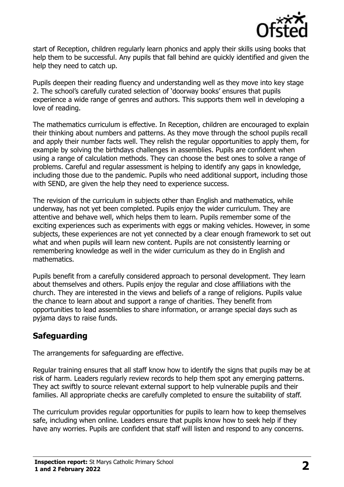

start of Reception, children regularly learn phonics and apply their skills using books that help them to be successful. Any pupils that fall behind are quickly identified and given the help they need to catch up.

Pupils deepen their reading fluency and understanding well as they move into key stage 2. The school's carefully curated selection of 'doorway books' ensures that pupils experience a wide range of genres and authors. This supports them well in developing a love of reading.

The mathematics curriculum is effective. In Reception, children are encouraged to explain their thinking about numbers and patterns. As they move through the school pupils recall and apply their number facts well. They relish the regular opportunities to apply them, for example by solving the birthdays challenges in assemblies. Pupils are confident when using a range of calculation methods. They can choose the best ones to solve a range of problems. Careful and regular assessment is helping to identify any gaps in knowledge, including those due to the pandemic. Pupils who need additional support, including those with SEND, are given the help they need to experience success.

The revision of the curriculum in subjects other than English and mathematics, while underway, has not yet been completed. Pupils enjoy the wider curriculum. They are attentive and behave well, which helps them to learn. Pupils remember some of the exciting experiences such as experiments with eggs or making vehicles. However, in some subjects, these experiences are not yet connected by a clear enough framework to set out what and when pupils will learn new content. Pupils are not consistently learning or remembering knowledge as well in the wider curriculum as they do in English and mathematics.

Pupils benefit from a carefully considered approach to personal development. They learn about themselves and others. Pupils enjoy the regular and close affiliations with the church. They are interested in the views and beliefs of a range of religions. Pupils value the chance to learn about and support a range of charities. They benefit from opportunities to lead assemblies to share information, or arrange special days such as pyjama days to raise funds.

### **Safeguarding**

The arrangements for safeguarding are effective.

Regular training ensures that all staff know how to identify the signs that pupils may be at risk of harm. Leaders regularly review records to help them spot any emerging patterns. They act swiftly to source relevant external support to help vulnerable pupils and their families. All appropriate checks are carefully completed to ensure the suitability of staff.

The curriculum provides regular opportunities for pupils to learn how to keep themselves safe, including when online. Leaders ensure that pupils know how to seek help if they have any worries. Pupils are confident that staff will listen and respond to any concerns.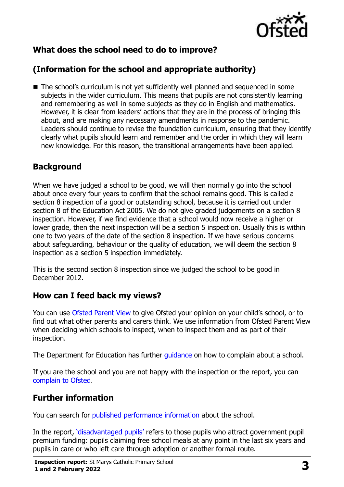

# **What does the school need to do to improve?**

# **(Information for the school and appropriate authority)**

■ The school's curriculum is not yet sufficiently well planned and sequenced in some subjects in the wider curriculum. This means that pupils are not consistently learning and remembering as well in some subjects as they do in English and mathematics. However, it is clear from leaders' actions that they are in the process of bringing this about, and are making any necessary amendments in response to the pandemic. Leaders should continue to revise the foundation curriculum, ensuring that they identify clearly what pupils should learn and remember and the order in which they will learn new knowledge. For this reason, the transitional arrangements have been applied.

#### **Background**

When we have judged a school to be good, we will then normally go into the school about once every four years to confirm that the school remains good. This is called a section 8 inspection of a good or outstanding school, because it is carried out under section 8 of the Education Act 2005. We do not give graded judgements on a section 8 inspection. However, if we find evidence that a school would now receive a higher or lower grade, then the next inspection will be a section 5 inspection. Usually this is within one to two years of the date of the section 8 inspection. If we have serious concerns about safeguarding, behaviour or the quality of education, we will deem the section 8 inspection as a section 5 inspection immediately.

This is the second section 8 inspection since we judged the school to be good in December 2012.

#### **How can I feed back my views?**

You can use [Ofsted Parent View](https://parentview.ofsted.gov.uk/) to give Ofsted your opinion on your child's school, or to find out what other parents and carers think. We use information from Ofsted Parent View when deciding which schools to inspect, when to inspect them and as part of their inspection.

The Department for Education has further [guidance](http://www.gov.uk/complain-about-school) on how to complain about a school.

If you are the school and you are not happy with the inspection or the report, you can [complain to Ofsted.](https://www.gov.uk/complain-ofsted-report)

### **Further information**

You can search for [published performance information](http://www.compare-school-performance.service.gov.uk/) about the school.

In the report, '[disadvantaged pupils](http://www.gov.uk/guidance/pupil-premium-information-for-schools-and-alternative-provision-settings)' refers to those pupils who attract government pupil premium funding: pupils claiming free school meals at any point in the last six years and pupils in care or who left care through adoption or another formal route.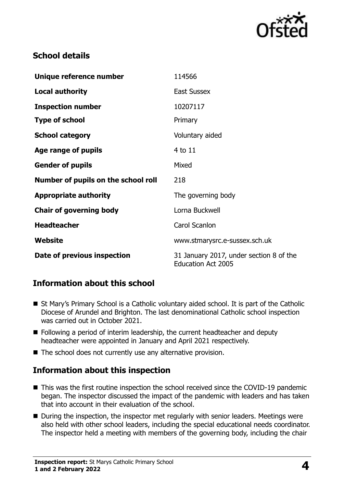

#### **School details**

| Unique reference number             | 114566                                                               |
|-------------------------------------|----------------------------------------------------------------------|
| <b>Local authority</b>              | <b>East Sussex</b>                                                   |
| <b>Inspection number</b>            | 10207117                                                             |
| <b>Type of school</b>               | Primary                                                              |
| <b>School category</b>              | Voluntary aided                                                      |
| Age range of pupils                 | 4 to 11                                                              |
| <b>Gender of pupils</b>             | Mixed                                                                |
| Number of pupils on the school roll | 218                                                                  |
| <b>Appropriate authority</b>        | The governing body                                                   |
| <b>Chair of governing body</b>      | Lorna Buckwell                                                       |
| <b>Headteacher</b>                  | Carol Scanlon                                                        |
| Website                             | www.stmarysrc.e-sussex.sch.uk                                        |
| Date of previous inspection         | 31 January 2017, under section 8 of the<br><b>Education Act 2005</b> |

### **Information about this school**

- St Mary's Primary School is a Catholic voluntary aided school. It is part of the Catholic Diocese of Arundel and Brighton. The last denominational Catholic school inspection was carried out in October 2021.
- Following a period of interim leadership, the current headteacher and deputy headteacher were appointed in January and April 2021 respectively.
- The school does not currently use any alternative provision.

### **Information about this inspection**

- This was the first routine inspection the school received since the COVID-19 pandemic began. The inspector discussed the impact of the pandemic with leaders and has taken that into account in their evaluation of the school.
- During the inspection, the inspector met regularly with senior leaders. Meetings were also held with other school leaders, including the special educational needs coordinator. The inspector held a meeting with members of the governing body, including the chair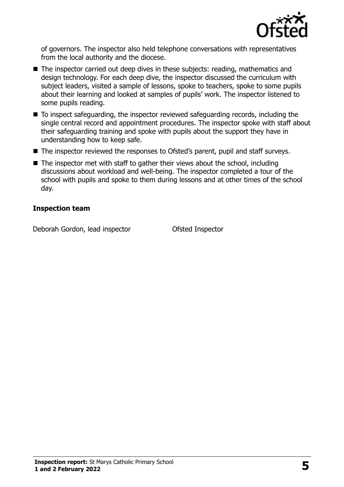

of governors. The inspector also held telephone conversations with representatives from the local authority and the diocese.

- The inspector carried out deep dives in these subjects: reading, mathematics and design technology. For each deep dive, the inspector discussed the curriculum with subject leaders, visited a sample of lessons, spoke to teachers, spoke to some pupils about their learning and looked at samples of pupils' work. The inspector listened to some pupils reading.
- To inspect safeguarding, the inspector reviewed safeguarding records, including the single central record and appointment procedures. The inspector spoke with staff about their safeguarding training and spoke with pupils about the support they have in understanding how to keep safe.
- The inspector reviewed the responses to Ofsted's parent, pupil and staff surveys.
- $\blacksquare$  The inspector met with staff to gather their views about the school, including discussions about workload and well-being. The inspector completed a tour of the school with pupils and spoke to them during lessons and at other times of the school day.

#### **Inspection team**

Deborah Gordon, lead inspector **Conservation** Ofsted Inspector